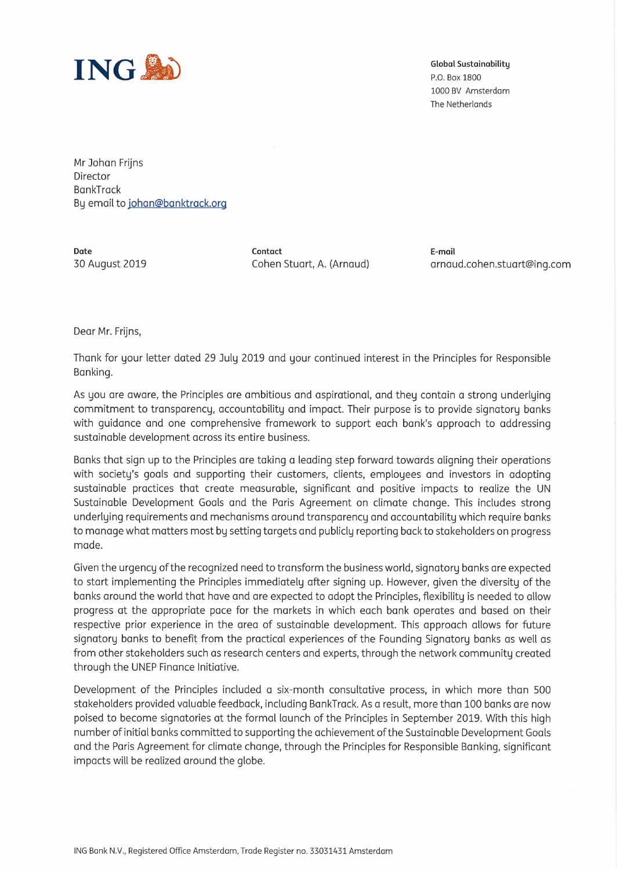

P.0. Box 1800 1000 BV Amsterdam The Netherlands

Mr Johan Frijns Director **BankTrack** By email to [johan@banktrack.org](mailto:johan@banktrack.org)

**Date Contact E-mail**

30 August 2019 Cohen Stuart, A. (Arnaud) [arnaud.cohen.stuart@ing.com](mailto:arnaud.cohen.stuart@ing.com)

Dear Mr. Frijns,

Thank for your letter dated 29 July 2019 and your continued interest in the Principles for Responsible Banking.

As you are aware, the Principles are ambitious and aspirational, and they contain a strong underlying commitment to transparency, accountability and impact. Their purpose is to provide signatory banks with guidance and one comprehensive framework to support each bank's approach to addressing sustainable development across its entire business.

Banks that sign up to the Principles are taking a leading step forward towards aligning their operations with society's goals and supporting their customers, clients, employees and investors in adopting sustainable practices that create measurable, significant and positive impacts to realize the UN Sustainable Development Goals and the Paris Agreement on climate change. This includes strong underlying requirements and mechanisms around transparency and accountability which require banks to manage what matters most by setting targets and publicly reporting back to stakeholders on progress made.

Given the urgency ofthe recognized need to transform the business world, signatory banks are expected to start implementing the Principles immediately after signing up. However, given the diversity of the banks around the world that have and are expected to adopt the Principles, flexibility is needed to allow progress at the appropriate pace for the markets in which each bank operates and based on their respective prior experience in the area of sustainable development. This approach allows for future signatory banks to benefit from the practical experiences of the Founding Signatory banks as well as from other stakeholders such as research centers and experts, through the network community created through the UNEP Finance Initiative.

Development of the Principles included a six-month consultative process, in which more than 500 stakeholders provided valuable feedback, including BankTrack. As a result, more than 100 banks are now poised to become signatories at the formal launch of the Principles in September 2019. With this high number of initial banks committed to supporting the achievement ofthe Sustainable Development Goals and the Paris Agreement for climate change, through the Principles for Responsible Banking, significant impacts will be realized around the globe.